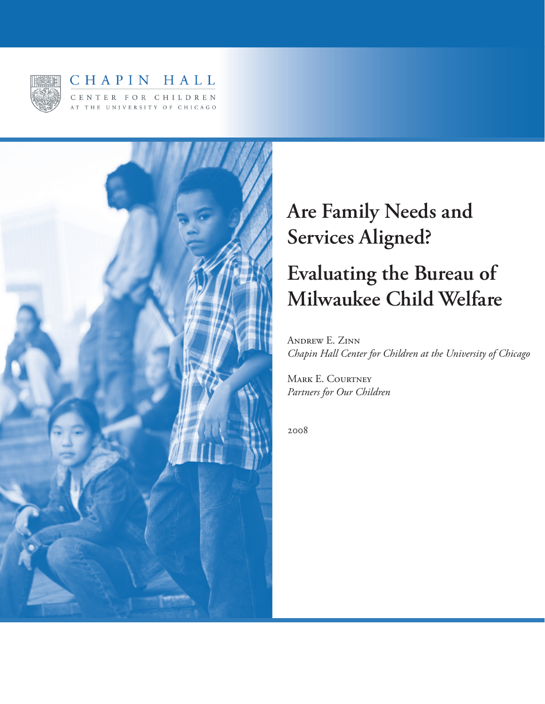

# CHAPIN HALL CENTER FOR CHILDREN AT THE UNIVERSITY OF CHICAGO



# **Are Family Needs and Services Aligned?**

# **Evaluating the Bureau of Milwaukee Child Welfare**

Andrew E. Zinn *Chapin Hall Center for Children at the University of Chicago*

MARK E. COURTNEY *Partners for Our Children*

2008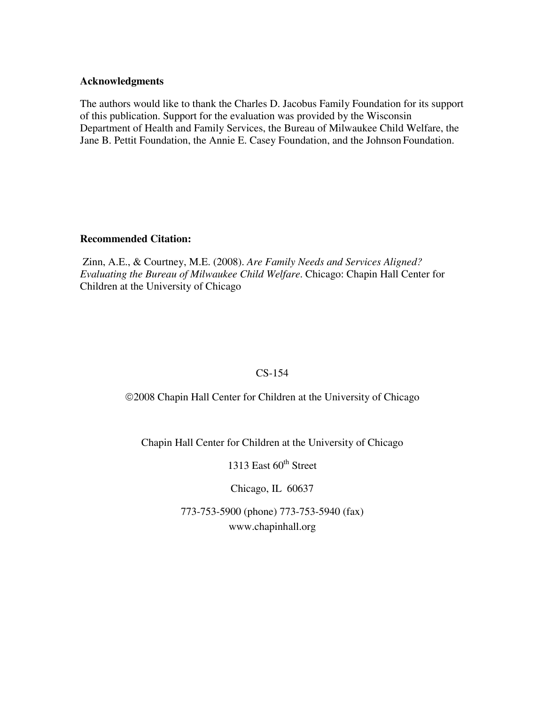#### **Acknowledgments**

The authors would like to thank the Charles D. Jacobus Family Foundation for its support of this publication. Support for the evaluation was provided by the Wisconsin Department of Health and Family Services, the Bureau of Milwaukee Child Welfare, the Jane B. Pettit Foundation, the Annie E. Casey Foundation, and the Johnson Foundation.

#### **Recommended Citation:**

 Zinn, A.E., & Courtney, M.E. (2008). *Are Family Needs and Services Aligned? Evaluating the Bureau of Milwaukee Child Welfare*. Chicago: Chapin Hall Center for Children at the University of Chicago

# CS-154

©2008 Chapin Hall Center for Children at the University of Chicago

Chapin Hall Center for Children at the University of Chicago

1313 East  $60<sup>th</sup>$  Street

Chicago, IL 60637

773-753-5900 (phone) 773-753-5940 (fax) www.chapinhall.org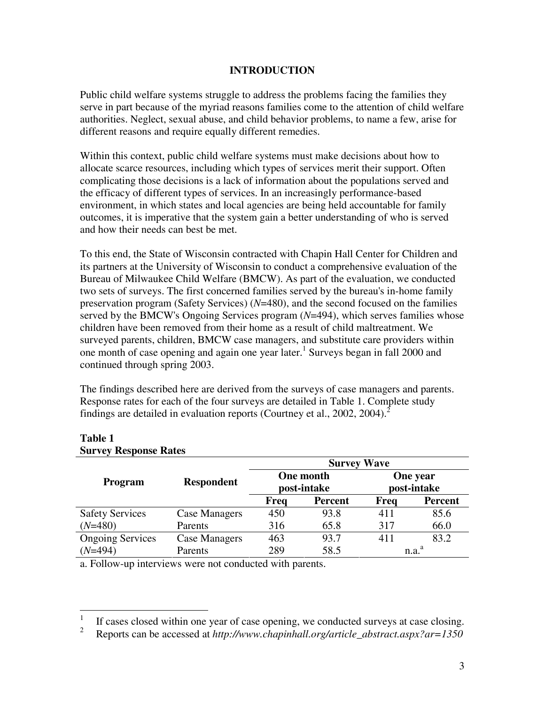# **INTRODUCTION**

Public child welfare systems struggle to address the problems facing the families they serve in part because of the myriad reasons families come to the attention of child welfare authorities. Neglect, sexual abuse, and child behavior problems, to name a few, arise for different reasons and require equally different remedies.

Within this context, public child welfare systems must make decisions about how to allocate scarce resources, including which types of services merit their support. Often complicating those decisions is a lack of information about the populations served and the efficacy of different types of services. In an increasingly performance-based environment, in which states and local agencies are being held accountable for family outcomes, it is imperative that the system gain a better understanding of who is served and how their needs can best be met.

To this end, the State of Wisconsin contracted with Chapin Hall Center for Children and its partners at the University of Wisconsin to conduct a comprehensive evaluation of the Bureau of Milwaukee Child Welfare (BMCW). As part of the evaluation, we conducted two sets of surveys. The first concerned families served by the bureau's in-home family preservation program (Safety Services) (*N*=480), and the second focused on the families served by the BMCW's Ongoing Services program (*N*=494), which serves families whose children have been removed from their home as a result of child maltreatment. We surveyed parents, children, BMCW case managers, and substitute care providers within one month of case opening and again one year later.<sup>1</sup> Surveys began in fall 2000 and continued through spring 2003.

The findings described here are derived from the surveys of case managers and parents. Response rates for each of the four surveys are detailed in Table 1. Complete study findings are detailed in evaluation reports (Courtney et al., 2002, 2004).<sup>2</sup>

| $\mathcal{L}$ and $\mathcal{L}$ is a subset of $\mathcal{L}$ |                   |                                 |                | <b>Survey Wave</b><br>One year |                   |  |  |
|--------------------------------------------------------------|-------------------|---------------------------------|----------------|--------------------------------|-------------------|--|--|
| Program                                                      | <b>Respondent</b> | <b>One month</b><br>post-intake |                | post-intake                    |                   |  |  |
|                                                              |                   | Freq                            | <b>Percent</b> | Freq                           | <b>Percent</b>    |  |  |
| <b>Safety Services</b>                                       | Case Managers     | 450                             | 93.8           | 411                            | 85.6              |  |  |
| $(N=480)$                                                    | Parents           | 316                             | 65.8           | 317                            | 66.0              |  |  |
| <b>Ongoing Services</b>                                      | Case Managers     | 463                             | 93.7           | 411                            | 83.2              |  |  |
| $(N=494)$                                                    | Parents           | 289                             | 58.5           |                                | n.a. <sup>a</sup> |  |  |

#### **Table 1 Survey Response Rates**

a. Follow-up interviews were not conducted with parents.

 $\frac{1}{1}$ If cases closed within one year of case opening, we conducted surveys at case closing.

<sup>2</sup> Reports can be accessed at *http://www.chapinhall.org/article\_abstract.aspx?ar=1350*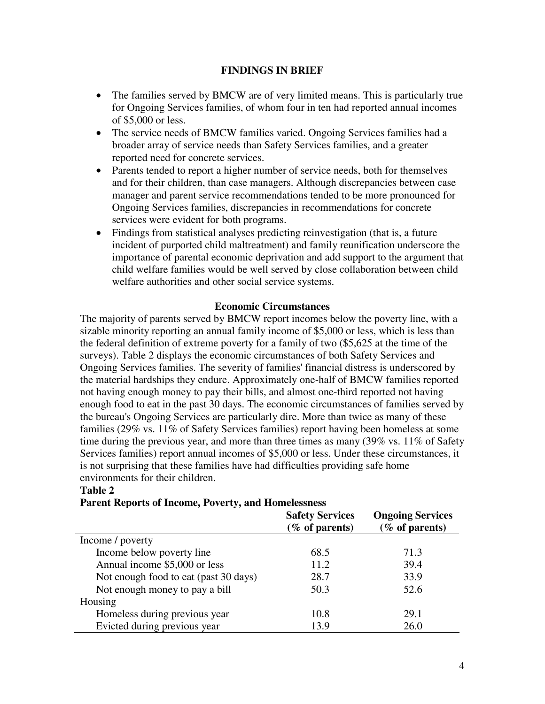## **FINDINGS IN BRIEF**

- The families served by BMCW are of very limited means. This is particularly true for Ongoing Services families, of whom four in ten had reported annual incomes of \$5,000 or less.
- The service needs of BMCW families varied. Ongoing Services families had a broader array of service needs than Safety Services families, and a greater reported need for concrete services.
- Parents tended to report a higher number of service needs, both for themselves and for their children, than case managers. Although discrepancies between case manager and parent service recommendations tended to be more pronounced for Ongoing Services families, discrepancies in recommendations for concrete services were evident for both programs.
- Findings from statistical analyses predicting reinvestigation (that is, a future incident of purported child maltreatment) and family reunification underscore the importance of parental economic deprivation and add support to the argument that child welfare families would be well served by close collaboration between child welfare authorities and other social service systems.

#### **Economic Circumstances**

The majority of parents served by BMCW report incomes below the poverty line, with a sizable minority reporting an annual family income of \$5,000 or less, which is less than the federal definition of extreme poverty for a family of two (\$5,625 at the time of the surveys). Table 2 displays the economic circumstances of both Safety Services and Ongoing Services families. The severity of families' financial distress is underscored by the material hardships they endure. Approximately one-half of BMCW families reported not having enough money to pay their bills, and almost one-third reported not having enough food to eat in the past 30 days. The economic circumstances of families served by the bureau's Ongoing Services are particularly dire. More than twice as many of these families (29% vs. 11% of Safety Services families) report having been homeless at some time during the previous year, and more than three times as many (39% vs. 11% of Safety Services families) report annual incomes of \$5,000 or less. Under these circumstances, it is not surprising that these families have had difficulties providing safe home environments for their children.

|                                       | <b>Safety Services</b><br>$(\%$ of parents) | <b>Ongoing Services</b><br>$(\%$ of parents) |
|---------------------------------------|---------------------------------------------|----------------------------------------------|
| Income / poverty                      |                                             |                                              |
| Income below poverty line             | 68.5                                        | 71.3                                         |
| Annual income \$5,000 or less         | 11.2                                        | 39.4                                         |
| Not enough food to eat (past 30 days) | 28.7                                        | 33.9                                         |
| Not enough money to pay a bill        | 50.3                                        | 52.6                                         |
| Housing                               |                                             |                                              |
| Homeless during previous year         | 10.8                                        | 29.1                                         |
| Evicted during previous year          | 13.9                                        | 26.0                                         |

#### **Table 2**

**Parent Reports of Income, Poverty, and Homelessness**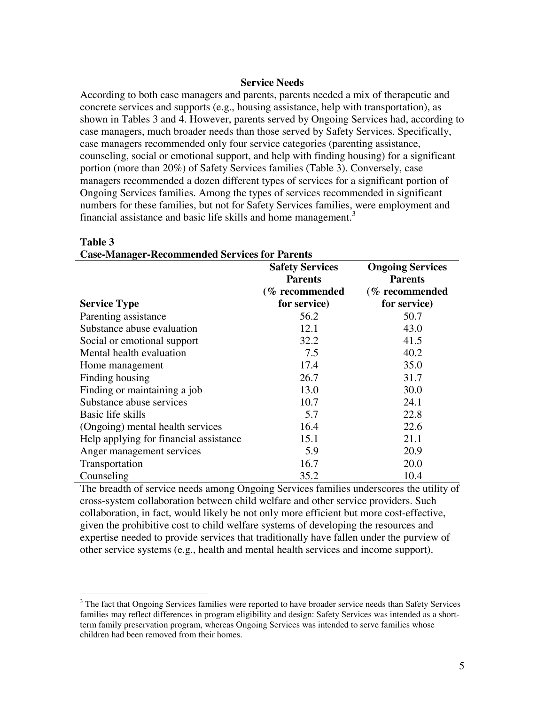#### **Service Needs**

According to both case managers and parents, parents needed a mix of therapeutic and concrete services and supports (e.g., housing assistance, help with transportation), as shown in Tables 3 and 4. However, parents served by Ongoing Services had, according to case managers, much broader needs than those served by Safety Services. Specifically, case managers recommended only four service categories (parenting assistance, counseling, social or emotional support, and help with finding housing) for a significant portion (more than 20%) of Safety Services families (Table 3). Conversely, case managers recommended a dozen different types of services for a significant portion of Ongoing Services families. Among the types of services recommended in significant numbers for these families, but not for Safety Services families, were employment and financial assistance and basic life skills and home management.<sup>3</sup>

|                                        | <b>Safety Services</b><br><b>Parents</b> | <b>Ongoing Services</b><br><b>Parents</b> |  |
|----------------------------------------|------------------------------------------|-------------------------------------------|--|
|                                        | (% recommended                           | (% recommended                            |  |
| <b>Service Type</b>                    | for service)                             | for service)                              |  |
| Parenting assistance                   | 56.2                                     | 50.7                                      |  |
| Substance abuse evaluation             | 12.1                                     | 43.0                                      |  |
| Social or emotional support            | 32.2                                     | 41.5                                      |  |
| Mental health evaluation               | 7.5                                      | 40.2                                      |  |
| Home management                        | 17.4                                     | 35.0                                      |  |
| Finding housing                        | 26.7                                     | 31.7                                      |  |
| Finding or maintaining a job           | 13.0                                     | 30.0                                      |  |
| Substance abuse services               | 10.7                                     | 24.1                                      |  |
| Basic life skills                      | 5.7                                      | 22.8                                      |  |
| (Ongoing) mental health services       | 16.4                                     | 22.6                                      |  |
| Help applying for financial assistance | 15.1                                     | 21.1                                      |  |
| Anger management services              | 5.9                                      | 20.9                                      |  |
| Transportation                         | 16.7                                     | 20.0                                      |  |
| Counseling                             | 35.2                                     | 10.4                                      |  |

**Case-Manager-Recommended Services for Parents** 

#### **Table 3**

1

The breadth of service needs among Ongoing Services families underscores the utility of cross-system collaboration between child welfare and other service providers. Such collaboration, in fact, would likely be not only more efficient but more cost-effective, given the prohibitive cost to child welfare systems of developing the resources and expertise needed to provide services that traditionally have fallen under the purview of other service systems (e.g., health and mental health services and income support).

<sup>&</sup>lt;sup>3</sup> The fact that Ongoing Services families were reported to have broader service needs than Safety Services families may reflect differences in program eligibility and design: Safety Services was intended as a shortterm family preservation program, whereas Ongoing Services was intended to serve families whose children had been removed from their homes.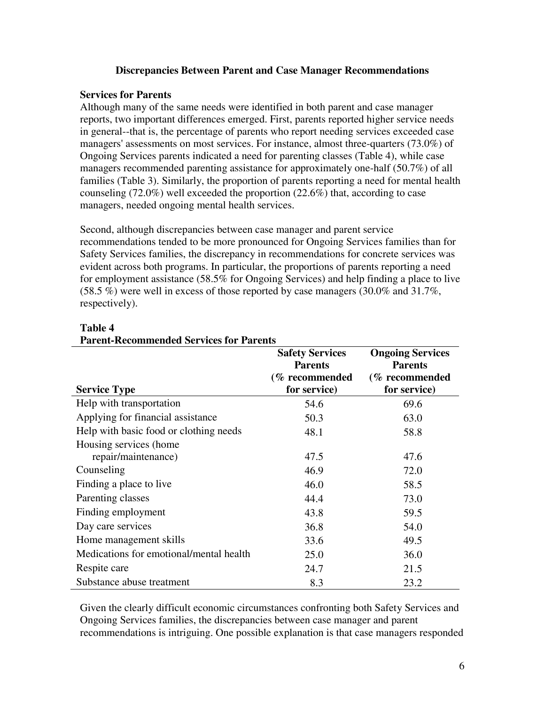#### **Discrepancies Between Parent and Case Manager Recommendations**

#### **Services for Parents**

Although many of the same needs were identified in both parent and case manager reports, two important differences emerged. First, parents reported higher service needs in general--that is, the percentage of parents who report needing services exceeded case managers' assessments on most services. For instance, almost three-quarters (73.0%) of Ongoing Services parents indicated a need for parenting classes (Table 4), while case managers recommended parenting assistance for approximately one-half (50.7%) of all families (Table 3). Similarly, the proportion of parents reporting a need for mental health counseling (72.0%) well exceeded the proportion (22.6%) that, according to case managers, needed ongoing mental health services.

Second, although discrepancies between case manager and parent service recommendations tended to be more pronounced for Ongoing Services families than for Safety Services families, the discrepancy in recommendations for concrete services was evident across both programs. In particular, the proportions of parents reporting a need for employment assistance (58.5% for Ongoing Services) and help finding a place to live  $(58.5\%)$  were well in excess of those reported by case managers  $(30.0\%$  and  $31.7\%$ , respectively).

| 1 ai cht Atecommenaeu dei viecs for 1 af ches |                        |                         |
|-----------------------------------------------|------------------------|-------------------------|
|                                               | <b>Safety Services</b> | <b>Ongoing Services</b> |
|                                               | <b>Parents</b>         | <b>Parents</b>          |
|                                               | (% recommended         | (% recommended          |
| <b>Service Type</b>                           | for service)           | for service)            |
| Help with transportation                      | 54.6                   | 69.6                    |
| Applying for financial assistance             | 50.3                   | 63.0                    |
| Help with basic food or clothing needs        | 48.1                   | 58.8                    |
| Housing services (home                        |                        |                         |
| repair/maintenance)                           | 47.5                   | 47.6                    |
| Counseling                                    | 46.9                   | 72.0                    |
| Finding a place to live                       | 46.0                   | 58.5                    |
| Parenting classes                             | 44.4                   | 73.0                    |
| Finding employment                            | 43.8                   | 59.5                    |
| Day care services                             | 36.8                   | 54.0                    |
| Home management skills                        | 33.6                   | 49.5                    |
| Medications for emotional/mental health       | 25.0                   | 36.0                    |
| Respite care                                  | 24.7                   | 21.5                    |
| Substance abuse treatment                     | 8.3                    | 23.2                    |

# **Table 4**

Given the clearly difficult economic circumstances confronting both Safety Services and Ongoing Services families, the discrepancies between case manager and parent recommendations is intriguing. One possible explanation is that case managers responded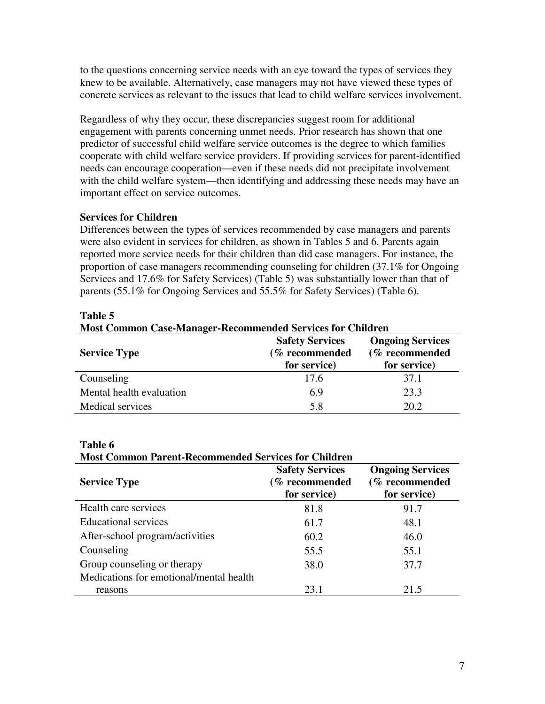to the questions concerning service needs with an eye toward the types of services they knew to be available. Alternatively, case managers may not have viewed these types of concrete services as relevant to the issues that lead to child welfare services involvement.

Regardless of why they occur, these discrepancies suggest room for additional engagement with parents concerning unmet needs. Prior research has shown that one predictor of successful child welfare service outcomes is the degree to which families cooperate with child welfare service providers. If providing services for parent-identified needs can encourage cooperation—even if these needs did not precipitate involvement with the child welfare system—then identifying and addressing these needs may have an important effect on service outcomes.

# **Services for Children**

Differences between the types of services recommended by case managers and parents were also evident in services for children, as shown in Tables 5 and 6. Parents again reported more service needs for their children than did case managers. For instance, the proportion of case managers recommending counseling for children (37.1% for Ongoing Services and 17.6% for Safety Services) (Table 5) was substantially lower than that of parents (55.1% for Ongoing Services and 55.5% for Safety Services) (Table 6).

| <b>Most Common Case-Manager-Recommended Services for Children</b> |                                                          |                                                           |  |
|-------------------------------------------------------------------|----------------------------------------------------------|-----------------------------------------------------------|--|
| <b>Service Type</b>                                               | <b>Safety Services</b><br>(% recommended<br>for service) | <b>Ongoing Services</b><br>(% recommended<br>for service) |  |
| Counseling                                                        | 17.6                                                     | 37.1                                                      |  |
| Mental health evaluation                                          | 6.9                                                      | 23.3                                                      |  |
| <b>Medical services</b>                                           | 5.8                                                      | 20.2                                                      |  |

#### **Table 5**

#### **Table 6**

**Most Common Parent-Recommended Services for Children** 

| <b>Service Type</b>                     | <b>Safety Services</b><br>(% recommended<br>for service) | <b>Ongoing Services</b><br>(% recommended<br>for service) |
|-----------------------------------------|----------------------------------------------------------|-----------------------------------------------------------|
| Health care services                    | 81.8                                                     | 91.7                                                      |
| <b>Educational services</b>             | 61.7                                                     | 48.1                                                      |
| After-school program/activities         | 60.2                                                     | 46.0                                                      |
| Counseling                              | 55.5                                                     | 55.1                                                      |
| Group counseling or therapy             | 38.0                                                     | 37.7                                                      |
| Medications for emotional/mental health |                                                          |                                                           |
| reasons                                 | 23.1                                                     | 21.5                                                      |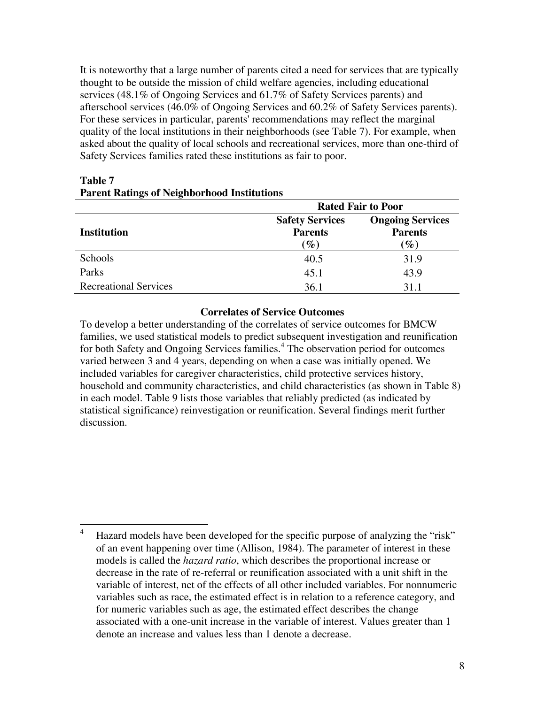It is noteworthy that a large number of parents cited a need for services that are typically thought to be outside the mission of child welfare agencies, including educational services (48.1% of Ongoing Services and 61.7% of Safety Services parents) and afterschool services (46.0% of Ongoing Services and 60.2% of Safety Services parents). For these services in particular, parents' recommendations may reflect the marginal quality of the local institutions in their neighborhoods (see Table 7). For example, when asked about the quality of local schools and recreational services, more than one-third of Safety Services families rated these institutions as fair to poor.

|                              | <b>Rated Fair to Poor</b>                                     |                                                              |  |
|------------------------------|---------------------------------------------------------------|--------------------------------------------------------------|--|
| <b>Institution</b>           | <b>Safety Services</b><br><b>Parents</b><br>$\mathscr{G}_o$ ) | <b>Ongoing Services</b><br><b>Parents</b><br>$\mathscr{G}_o$ |  |
| Schools                      | 40.5                                                          | 31.9                                                         |  |
| Parks                        | 45.1                                                          | 43.9                                                         |  |
| <b>Recreational Services</b> | 36.1                                                          | 31.1                                                         |  |

# **Table 7 Parent Ratings of Neighborhood Institutions**

### **Correlates of Service Outcomes**

To develop a better understanding of the correlates of service outcomes for BMCW families, we used statistical models to predict subsequent investigation and reunification for both Safety and Ongoing Services families.<sup>4</sup> The observation period for outcomes varied between 3 and 4 years, depending on when a case was initially opened. We included variables for caregiver characteristics, child protective services history, household and community characteristics, and child characteristics (as shown in Table 8) in each model. Table 9 lists those variables that reliably predicted (as indicated by statistical significance) reinvestigation or reunification. Several findings merit further discussion.

 $\frac{1}{4}$  Hazard models have been developed for the specific purpose of analyzing the "risk" of an event happening over time (Allison, 1984). The parameter of interest in these models is called the *hazard ratio*, which describes the proportional increase or decrease in the rate of re-referral or reunification associated with a unit shift in the variable of interest, net of the effects of all other included variables. For nonnumeric variables such as race, the estimated effect is in relation to a reference category, and for numeric variables such as age, the estimated effect describes the change associated with a one-unit increase in the variable of interest. Values greater than 1 denote an increase and values less than 1 denote a decrease.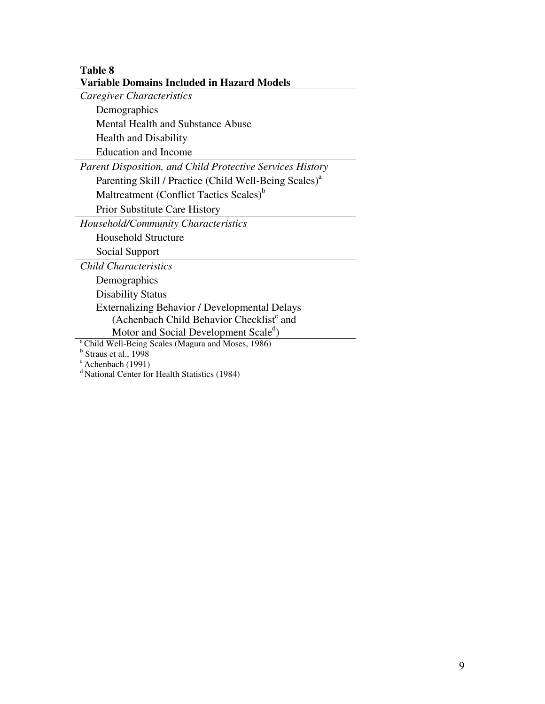### **Table 8 Variable Domains Included in Hazard Models**

*Caregiver Characteristics* 

Demographics

Mental Health and Substance Abuse

Health and Disability

Education and Income

*Parent Disposition, and Child Protective Services History* 

Parenting Skill / Practice (Child Well-Being Scales)<sup>a</sup>

Maltreatment (Conflict Tactics Scales)<sup>b</sup>

Prior Substitute Care History

*Household/Community Characteristics* 

Household Structure

Social Support

*Child Characteristics* 

Demographics

Disability Status

Externalizing Behavior / Developmental Delays (Achenbach Child Behavior Checklist<sup>c</sup> and

Motor and Social Development Scale<sup>d</sup>)

<sup>a</sup> Child Well-Being Scales (Magura and Moses, 1986)

<sup>b</sup> Straus et al., 1998

 $c$  Achenbach (1991)

d National Center for Health Statistics (1984)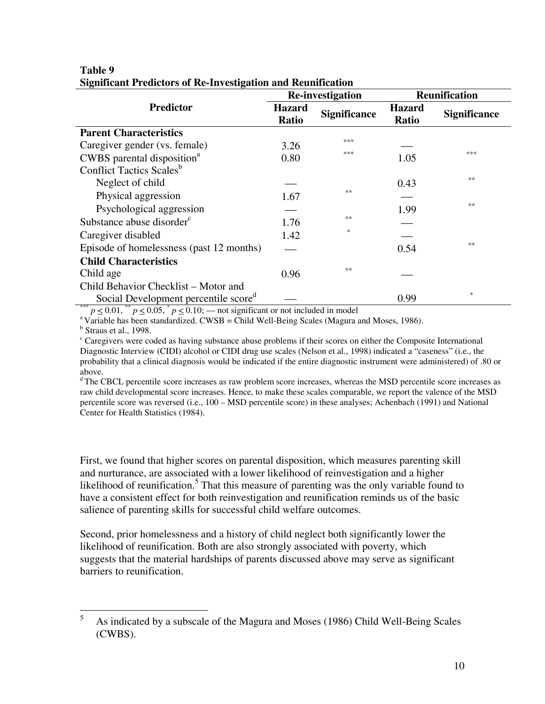|                                                  | <b>Re-investigation</b> |                     | <b>Reunification</b>          |                                   |
|--------------------------------------------------|-------------------------|---------------------|-------------------------------|-----------------------------------|
| Predictor                                        | <b>Hazard</b><br>Ratio  | <b>Significance</b> | <b>Hazard</b><br><b>Ratio</b> | <b>Significance</b>               |
| <b>Parent Characteristics</b>                    |                         |                     |                               |                                   |
| Caregiver gender (vs. female)                    | 3.26                    | ***                 |                               |                                   |
| CWBS parental disposition <sup>a</sup>           | 0.80                    | ***                 | 1.05                          | ***                               |
| Conflict Tactics Scales <sup>b</sup>             |                         |                     |                               |                                   |
| Neglect of child                                 |                         |                     | 0.43                          | **                                |
| Physical aggression                              | 1.67                    | **                  |                               |                                   |
| Psychological aggression                         |                         |                     | 1.99                          | 米米                                |
| Substance abuse disorder <sup>c</sup>            | 1.76                    | **                  |                               |                                   |
| Caregiver disabled                               | 1.42                    | $\frac{1}{2}$       |                               |                                   |
| Episode of homelessness (past 12 months)         |                         |                     | 0.54                          | **                                |
| <b>Child Characteristics</b>                     |                         |                     |                               |                                   |
| Child age                                        | 0.96                    | **                  |                               |                                   |
| Child Behavior Checklist – Motor and             |                         |                     |                               |                                   |
| Social Development percentile score <sup>d</sup> |                         |                     | 0.99                          | $\frac{d\mathbf{x}}{d\mathbf{x}}$ |

#### **Table 9 Significant Predictors of Re-Investigation and Reunification**

\*\*\*  $p \le 0.01$ , \*\*  $p \le 0.05$ , \*  $p \le 0.10$ ; — not significant or not included in model<br><sup>a</sup> Variable has been standardized. CWSB = Child Well-Being Scales (Magura and Moses, 1986).

 $<sup>b</sup>$  Straus et al., 1998.</sup>

<sup>c</sup> Caregivers were coded as having substance abuse problems if their scores on either the Composite International Diagnostic Interview (CIDI) alcohol or CIDI drug use scales (Nelson et al., 1998) indicated a "caseness" (i.e., the probability that a clinical diagnosis would be indicated if the entire diagnostic instrument were administered) of .80 or above.

<sup>d</sup> The CBCL percentile score increases as raw problem score increases, whereas the MSD percentile score increases as raw child developmental score increases. Hence, to make these scales comparable, we report the valence of the MSD percentile score was reversed (i.e., 100 – MSD percentile score) in these analyses; Achenbach (1991) and National Center for Health Statistics (1984).

First, we found that higher scores on parental disposition, which measures parenting skill and nurturance, are associated with a lower likelihood of reinvestigation and a higher likelihood of reunification.<sup>5</sup> That this measure of parenting was the only variable found to have a consistent effect for both reinvestigation and reunification reminds us of the basic salience of parenting skills for successful child welfare outcomes.

Second, prior homelessness and a history of child neglect both significantly lower the likelihood of reunification. Both are also strongly associated with poverty, which suggests that the material hardships of parents discussed above may serve as significant barriers to reunification.

 $\frac{1}{5}$  As indicated by a subscale of the Magura and Moses (1986) Child Well-Being Scales (CWBS).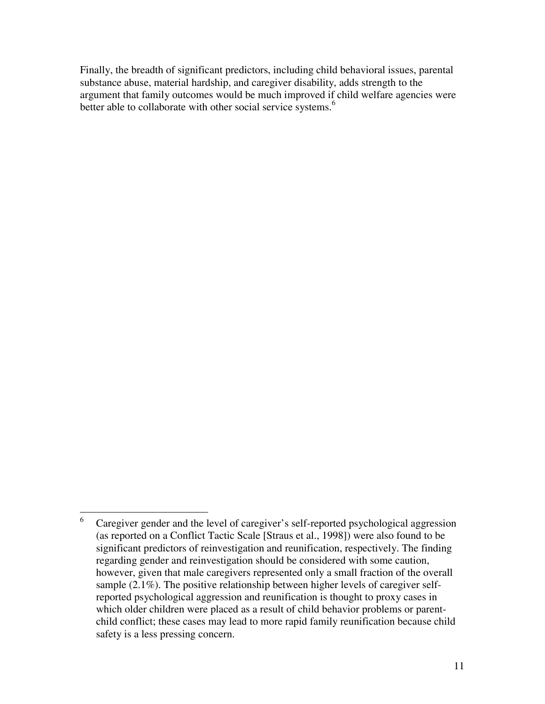Finally, the breadth of significant predictors, including child behavioral issues, parental substance abuse, material hardship, and caregiver disability, adds strength to the argument that family outcomes would be much improved if child welfare agencies were better able to collaborate with other social service systems.<sup>6</sup>

 $\frac{1}{6}$  Caregiver gender and the level of caregiver's self-reported psychological aggression (as reported on a Conflict Tactic Scale [Straus et al., 1998]) were also found to be significant predictors of reinvestigation and reunification, respectively. The finding regarding gender and reinvestigation should be considered with some caution, however, given that male caregivers represented only a small fraction of the overall sample (2.1%). The positive relationship between higher levels of caregiver selfreported psychological aggression and reunification is thought to proxy cases in which older children were placed as a result of child behavior problems or parentchild conflict; these cases may lead to more rapid family reunification because child safety is a less pressing concern.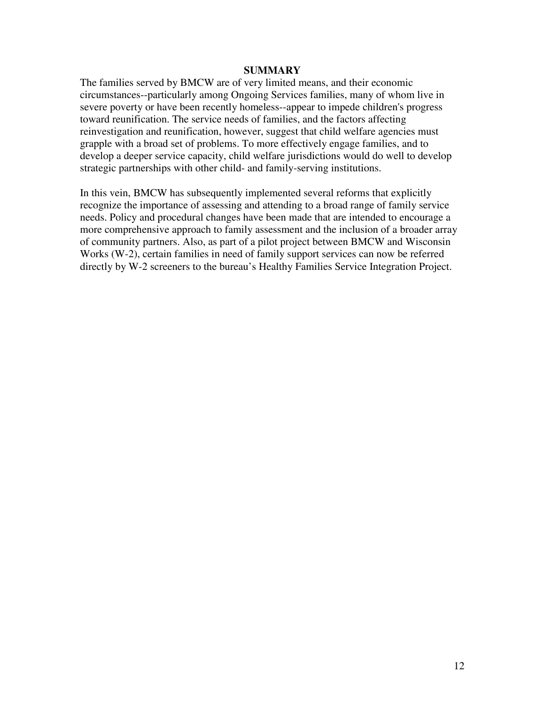#### **SUMMARY**

The families served by BMCW are of very limited means, and their economic circumstances--particularly among Ongoing Services families, many of whom live in severe poverty or have been recently homeless--appear to impede children's progress toward reunification. The service needs of families, and the factors affecting reinvestigation and reunification, however, suggest that child welfare agencies must grapple with a broad set of problems. To more effectively engage families, and to develop a deeper service capacity, child welfare jurisdictions would do well to develop strategic partnerships with other child- and family-serving institutions.

In this vein, BMCW has subsequently implemented several reforms that explicitly recognize the importance of assessing and attending to a broad range of family service needs. Policy and procedural changes have been made that are intended to encourage a more comprehensive approach to family assessment and the inclusion of a broader array of community partners. Also, as part of a pilot project between BMCW and Wisconsin Works (W-2), certain families in need of family support services can now be referred directly by W-2 screeners to the bureau's Healthy Families Service Integration Project.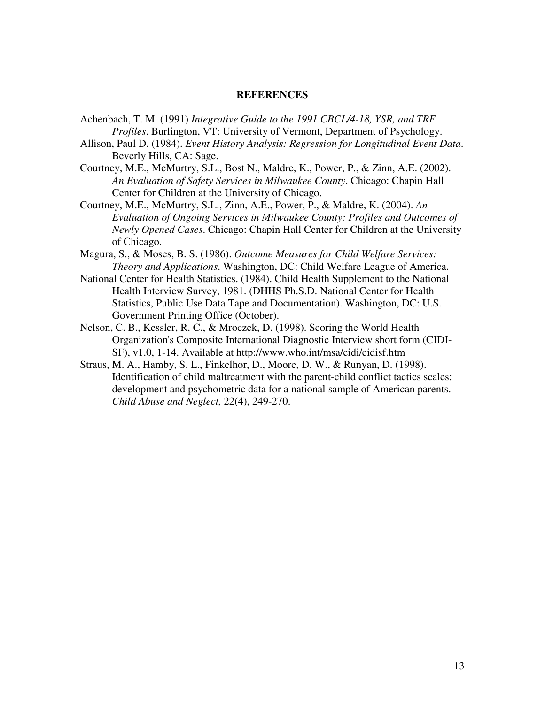#### **REFERENCES**

- Achenbach, T. M. (1991) *Integrative Guide to the 1991 CBCL/4-18, YSR, and TRF Profiles*. Burlington, VT: University of Vermont, Department of Psychology.
- Allison, Paul D. (1984). *Event History Analysis: Regression for Longitudinal Event Data*. Beverly Hills, CA: Sage.
- Courtney, M.E., McMurtry, S.L., Bost N., Maldre, K., Power, P., & Zinn, A.E. (2002). *An Evaluation of Safety Services in Milwaukee County*. Chicago: Chapin Hall Center for Children at the University of Chicago.
- Courtney, M.E., McMurtry, S.L., Zinn, A.E., Power, P., & Maldre, K. (2004). *An Evaluation of Ongoing Services in Milwaukee County: Profiles and Outcomes of Newly Opened Cases*. Chicago: Chapin Hall Center for Children at the University of Chicago.
- Magura, S., & Moses, B. S. (1986). *Outcome Measures for Child Welfare Services: Theory and Applications*. Washington, DC: Child Welfare League of America.
- National Center for Health Statistics. (1984). Child Health Supplement to the National Health Interview Survey, 1981. (DHHS Ph.S.D. National Center for Health Statistics, Public Use Data Tape and Documentation). Washington, DC: U.S. Government Printing Office (October).
- Nelson, C. B., Kessler, R. C., & Mroczek, D. (1998). Scoring the World Health Organization's Composite International Diagnostic Interview short form (CIDI-SF), v1.0, 1-14. Available at http://www.who.int/msa/cidi/cidisf.htm
- Straus, M. A., Hamby, S. L., Finkelhor, D., Moore, D. W., & Runyan, D. (1998). Identification of child maltreatment with the parent-child conflict tactics scales: development and psychometric data for a national sample of American parents. *Child Abuse and Neglect,* 22(4), 249-270.